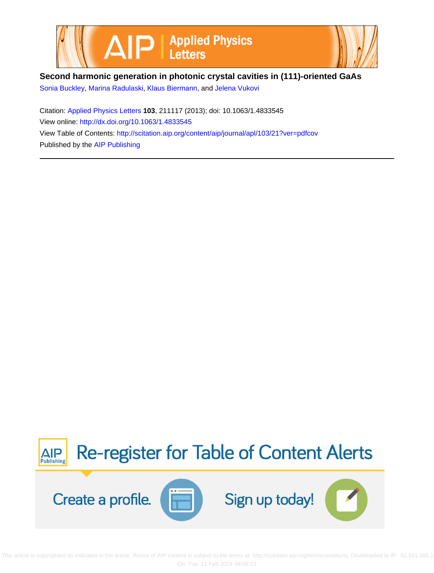



## **Second harmonic generation in photonic crystal cavities in (111)-oriented GaAs**

[Sonia Buckley](http://scitation.aip.org/search?value1=Sonia+Buckley&option1=author), [Marina Radulaski](http://scitation.aip.org/search?value1=Marina+Radulaski&option1=author), [Klaus Biermann](http://scitation.aip.org/search?value1=Klaus+Biermann&option1=author), and [Jelena Vukovi](http://scitation.aip.org/search?value1=Jelena+Vukovi&option1=author)

Citation: [Applied Physics Letters](http://scitation.aip.org/content/aip/journal/apl?ver=pdfcov) **103**, 211117 (2013); doi: 10.1063/1.4833545 View online: <http://dx.doi.org/10.1063/1.4833545> View Table of Contents: <http://scitation.aip.org/content/aip/journal/apl/103/21?ver=pdfcov> Published by the [AIP Publishing](http://scitation.aip.org/content/aip?ver=pdfcov)



 This article is copyrighted as indicated in the article. Reuse of AIP content is subject to the terms at: http://scitation.aip.org/termsconditions. Downloaded to IP: 62.141.165.1 On: Tue, 11 Feb 2014 09:09:53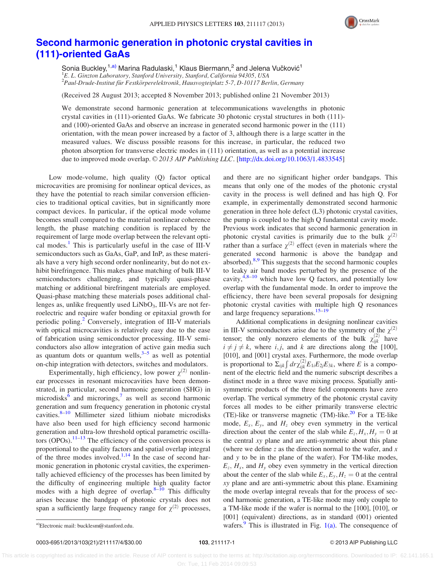

## [Second harmonic generation in photonic crystal cavities in](http://dx.doi.org/10.1063/1.4833545) [\(111\)-oriented GaAs](http://dx.doi.org/10.1063/1.4833545)

Sonia Buckley, $^{1, a)}$  Marina Radulaski, $^1$  Klaus Biermann, $^2$  and Jelena Vučković $^1$ <sup>1</sup>E. L. Ginzton Laboratory, Stanford University, Stanford, California 94305, USA  $^2$ Paul-Drude-Institut für Festkörperelektronik, Hausvogteiplatz 5-7, D-10117 Berlin, Germany

(Received 28 August 2013; accepted 8 November 2013; published online 21 November 2013)

We demonstrate second harmonic generation at telecommunications wavelengths in photonic crystal cavities in (111)-oriented GaAs. We fabricate 30 photonic crystal structures in both (111) and (100)-oriented GaAs and observe an increase in generated second harmonic power in the (111) orientation, with the mean power increased by a factor of 3, although there is a large scatter in the measured values. We discuss possible reasons for this increase, in particular, the reduced two photon absorption for transverse electric modes in (111) orientation, as well as a potential increase due to improved mode overlap. © 2013 AIP Publishing LLC. [\[http://dx.doi.org/10.1063/1.4833545](http://dx.doi.org/10.1063/1.4833545)]

Low mode-volume, high quality (Q) factor optical microcavities are promising for nonlinear optical devices, as they have the potential to reach similar conversion efficiencies to traditional optical cavities, but in significantly more compact devices. In particular, if the optical mode volume becomes small compared to the material nonlinear coherence length, the phase matching condition is replaced by the requirement of large mode overlap between the relevant opti-cal modes.<sup>[1](#page-4-0)</sup> This is particularly useful in the case of III-V semiconductors such as GaAs, GaP, and InP, as these materials have a very high second order nonlinearity, but do not exhibit birefringence. This makes phase matching of bulk III-V semiconductors challenging, and typically quasi-phase matching or additional birefringent materials are employed. Quasi-phase matching these materials poses additional challenges as, unlike frequently used  $LiNbO<sub>3</sub>$ , III-Vs are not ferroelectric and require wafer bonding or epitaxial growth for periodic poling.<sup>2</sup> Conversely, integration of III-V materials with optical microcavities is relatively easy due to the ease of fabrication using semiconductor processing. III-V semiconductors also allow integration of active gain media such as quantum dots or quantum wells, $3-5$  as well as potential on-chip integration with detectors, switches and modulators.

Experimentally, high efficiency, low power  $\chi^{(2)}$  nonlinear processes in resonant microcavities have been demonstrated, in particular, second harmonic generation (SHG) in microdisks<sup>[6](#page-4-0)</sup> and microrings,<sup>[7](#page-4-0)</sup> as well as second harmonic generation and sum frequency generation in photonic crystal cavities. $8-10$  Millimeter sized lithium niobate microdisks have also been used for high efficiency second harmonic generation and ultra-low threshold optical parametric oscillators (OPOs).  $11-13$  The efficiency of the conversion process is proportional to the quality factors and spatial overlap integral of the three modes involved. $1,14$  In the case of second harmonic generation in photonic crystal cavities, the experimentally achieved efficiency of the processes has been limited by the difficulty of engineering multiple high quality factor modes with a high degree of overlap. $8-\overline{10}$  This difficulty arises because the bandgap of photonic crystals does not span a sufficiently large frequency range for  $\chi^{(2)}$  processes,

and there are no significant higher order bandgaps. This means that only one of the modes of the photonic crystal cavity in the process is well defined and has high Q. For example, in experimentally demonstrated second harmonic generation in three hole defect (L3) photonic crystal cavities, the pump is coupled to the high Q fundamental cavity mode. Previous work indicates that second harmonic generation in photonic crystal cavities is primarily due to the bulk  $\chi^{(2)}$ rather than a surface  $\chi^{(2)}$  effect (even in materials where the generated second harmonic is above the bandgap and absorbed).<sup>[8,9](#page-4-0)</sup> This suggests that the second harmonic couples to leaky air band modes perturbed by the presence of the cavity, $4.8-10$  which have low Q factors, and potentially low overlap with the fundamental mode. In order to improve the efficiency, there have been several proposals for designing photonic crystal cavities with multiple high Q resonances and large frequency separations.<sup>[15–19](#page-4-0)</sup>

Additional complications in designing nonlinear cavities in III-V semiconductors arise due to the symmetry of the  $\chi^{(2)}$ tensor; the only nonzero elements of the bulk  $\chi^{(2)}_{ijk}$  have  $i \neq j \neq k$ , where i, j, and k are directions along the [100], [010], and [001] crystal axes. Furthermore, the mode overlap is proportional to  $\Sigma_{ijk} \int dr \chi_{ijk}^{(2)} E_{1i} E_{2j} E_{3k}$ , where E is a component of the electric field and the numeric subscript describes a distinct mode in a three wave mixing process. Spatially antisymmetric products of the three field components have zero overlap. The vertical symmetry of the photonic crystal cavity forces all modes to be either primarily transverse electric (TE)-like or transverse magnetic (TM)-like. $^{20}$  For a TE-like mode,  $E_x$ ,  $E_y$ , and  $H_z$  obey even symmetry in the vertical direction about the center of the slab while  $E_z$ ,  $H_x$ ,  $H_y = 0$  at the central xy plane and are anti-symmetric about this plane (where we define  $z$  as the direction normal to the wafer, and  $x$ and y to be in the plane of the wafer). For TM-like modes,  $E_z$ ,  $H_x$ , and  $H_y$  obey even symmetry in the vertical direction about the center of the slab while  $E_x, E_y, H_z = 0$  at the central xy plane and are anti-symmetric about this plane. Examining the mode overlap integral reveals that for the process of second harmonic generation, a TE-like mode may only couple to a TM-like mode if the wafer is normal to the [100], [010], or [001] (equivalent) directions, as in standard (001) oriented a)Electronic mail: [bucklesm@stanford.edu.](mailto:bucklesm@stanford.edu)  $\text{wafers.}^9$  $\text{wafers.}^9$  This is illustrated in Fig. [1\(a\).](#page-2-0) The consequence of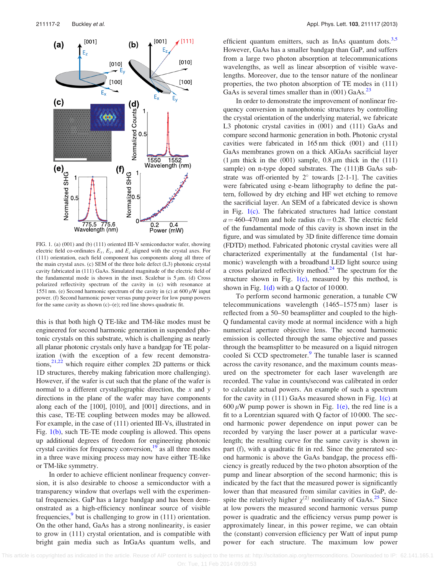<span id="page-2-0"></span>

FIG. 1. (a) (001) and (b) (111) oriented III-V semiconductor wafer, showing electric field co-ordinates  $E_x$ ,  $E_y$ , and  $E_z$  aligned with the crystal axes. For (111) orientation, each field component has components along all three of the main crystal axes. (c) SEM of the three hole defect (L3) photonic crystal cavity fabricated in (111) GaAs. Simulated magnitude of the electric field of the fundamental mode is shown in the inset. Scalebar is  $5 \mu m$ . (d) Cross polarized reflectivity spectrum of the cavity in (c) with resonance at 1551 nm. (e) Second harmonic spectrum of the cavity in (c) at  $600 \mu W$  input power. (f) Second harmonic power versus pump power for low pump powers for the same cavity as shown  $(c)$ – $(e)$ ; red line shows quadratic fit.

this is that both high Q TE-like and TM-like modes must be engineered for second harmonic generation in suspended photonic crystals on this substrate, which is challenging as nearly all planar photonic crystals only have a bandgap for TE polarization (with the exception of a few recent demonstrations, $2^{1,22}$  which require either complex 2D patterns or thick 1D structures, thereby making fabrication more challenging). However, if the wafer is cut such that the plane of the wafer is normal to a different crystallographic direction, the  $x$  and  $y$ directions in the plane of the wafer may have components along each of the [100], [010], and [001] directions, and in this case, TE-TE coupling between modes may be allowed. For example, in the case of (111) oriented III-Vs, illustrated in Fig. 1(b), such TE-TE mode coupling is allowed. This opens up additional degrees of freedom for engineering photonic crystal cavities for frequency conversion,<sup>[19](#page-4-0)</sup> as all three modes in a three wave mixing process may now have either TE-like or TM-like symmetry.

In order to achieve efficient nonlinear frequency conversion, it is also desirable to choose a semiconductor with a transparency window that overlaps well with the experimental frequencies. GaP has a large bandgap and has been demonstrated as a high-efficiency nonlinear source of visible frequencies, $9$  but is challenging to grow in (111) orientation. On the other hand, GaAs has a strong nonlinearity, is easier to grow in (111) crystal orientation, and is compatible with bright gain media such as InGaAs quantum wells, and efficient quantum emitters, such as InAs quantum dots. $3,5$ However, GaAs has a smaller bandgap than GaP, and suffers from a large two photon absorption at telecommunications wavelengths, as well as linear absorption of visible wavelengths. Moreover, due to the tensor nature of the nonlinear properties, the two photon absorption of TE modes in (111) GaAs is several times smaller than in  $(001)$  GaAs.<sup>[23](#page-4-0)</sup>

In order to demonstrate the improvement of nonlinear frequency conversion in nanophotonic structures by controlling the crystal orientation of the underlying material, we fabricate L3 photonic crystal cavities in (001) and (111) GaAs and compare second harmonic generation in both. Photonic crystal cavities were fabricated in 165 nm thick (001) and (111) GaAs membranes grown on a thick AlGaAs sacrificial layer (1  $\mu$ m thick in the (001) sample, 0.8  $\mu$ m thick in the (111) sample) on n-type doped substrates. The  $(111)B$  GaAs substrate was off-oriented by  $2^{\circ}$  towards [2-1-1]. The cavities were fabricated using e-beam lithography to define the pattern, followed by dry etching and HF wet etching to remove the sacrificial layer. An SEM of a fabricated device is shown in Fig. 1(c). The fabricated structures had lattice constant  $a = 460-470$  nm and hole radius r/a = 0.28. The electric field of the fundamental mode of this cavity is shown inset in the figure, and was simulated by 3D finite difference time domain (FDTD) method. Fabricated photonic crystal cavities were all characterized experimentally at the fundamental (1st harmonic) wavelength with a broadband LED light source using a cross polarized reflectivity method. $24$  The spectrum for the structure shown in Fig.  $1(c)$ , measured by this method, is shown in Fig.  $1(d)$  with a Q factor of 10000.

To perform second harmonic generation, a tunable CW telecommunications wavelength (1465–1575 nm) laser is reflected from a 50–50 beamsplitter and coupled to the high-Q fundamental cavity mode at normal incidence with a high numerical aperture objective lens. The second harmonic emission is collected through the same objective and passes through the beamsplitter to be measured on a liquid nitrogen cooled Si CCD spectrometer.<sup>[9](#page-4-0)</sup> The tunable laser is scanned across the cavity resonance, and the maximum counts measured on the spectrometer for each laser wavelength are recorded. The value in counts/second was calibrated in order to calculate actual powers. An example of such a spectrum for the cavity in  $(111)$  GaAs measured shown in Fig. 1(c) at 600  $\mu$ W pump power is shown in Fig. 1(e), the red line is a fit to a Lorentzian squared with Q factor of 10 000. The second harmonic power dependence on input power can be recorded by varying the laser power at a particular wavelength; the resulting curve for the same cavity is shown in part (f), with a quadratic fit in red. Since the generated second harmonic is above the GaAs bandgap, the process efficiency is greatly reduced by the two photon absorption of the pump and linear absorption of the second harmonic; this is indicated by the fact that the measured power is significantly lower than that measured from similar cavities in GaP, despite the relatively higher  $\chi^{(2)}$  nonlinearity of GaAs.<sup>[25](#page-4-0)</sup> Since at low powers the measured second harmonic versus pump power is quadratic and the efficiency versus pump power is approximately linear, in this power regime, we can obtain the (constant) conversion efficiency per Watt of input pump power for each structure. The maximum low power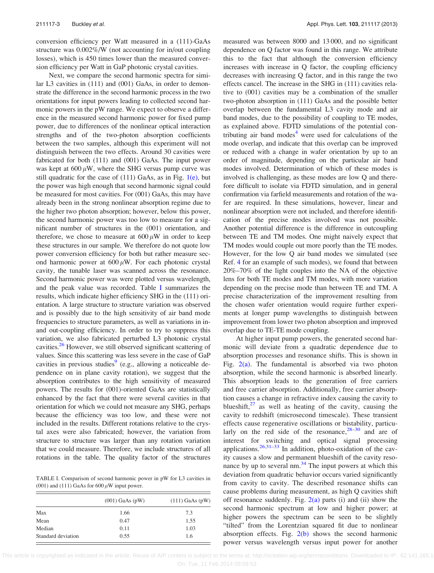conversion efficiency per Watt measured in a (111)-GaAs structure was 0.002%/W (not accounting for in/out coupling losses), which is 450 times lower than the measured conversion efficiency per Watt in GaP photonic crystal cavities.

Next, we compare the second harmonic spectra for similar L3 cavities in (111) and (001) GaAs, in order to demonstrate the difference in the second harmonic process in the two orientations for input powers leading to collected second harmonic powers in the pW range. We expect to observe a difference in the measured second harmonic power for fixed pump power, due to differences of the nonlinear optical interaction strengths and of the two-photon absorption coefficients between the two samples, although this experiment will not distinguish between the two effects. Around 30 cavities were fabricated for both (111) and (001) GaAs. The input power was kept at  $600 \mu W$ , where the SHG versus pump curve was still quadratic for the case of  $(111)$  GaAs, as in Fig.  $1(e)$ , but the power was high enough that second harmonic signal could be measured for most cavities. For (001) GaAs, this may have already been in the strong nonlinear absorption regime due to the higher two photon absorption; however, below this power, the second harmonic power was too low to measure for a significant number of structures in the (001) orientation, and therefore, we chose to measure at  $600 \mu W$  in order to keep these structures in our sample. We therefore do not quote low power conversion efficiency for both but rather measure second harmonic power at  $600 \mu$ W. For each photonic crystal cavity, the tunable laser was scanned across the resonance. Second harmonic power was were plotted versus wavelength, and the peak value was recorded. Table I summarizes the results, which indicate higher efficiency SHG in the (111) orientation. A large structure to structure variation was observed and is possibly due to the high sensitivity of air band mode frequencies to structure parameters, as well as variations in inand out-coupling efficiency. In order to try to suppress this variation, we also fabricated perturbed L3 photonic crystal cavities.<sup>26</sup> However, we still observed significant scattering of values. Since this scattering was less severe in the case of GaP cavities in previous studies  $(e.g.,$  allowing a noticeable dependence on in plane cavity rotation), we suggest that the absorption contributes to the high sensitivity of measured powers. The results for (001)-oriented GaAs are statistically enhanced by the fact that there were several cavities in that orientation for which we could not measure any SHG, perhaps because the efficiency was too low, and these were not included in the results. Different rotations relative to the crystal axes were also fabricated; however, the variation from structure to structure was larger than any rotation variation that we could measure. Therefore, we include structures of all rotations in the table. The quality factor of the structures

TABLE I. Comparison of second harmonic power in pW for L3 cavities in (001) and (111) GaAs for 600  $\mu$ W input power.

|                    | $(001)$ GaAs $(pW)$ | $(111)$ GaAs $(pW)$ |
|--------------------|---------------------|---------------------|
| Max                | 1.66                | 7.3                 |
| Mean               | 0.47                | 1.55                |
| Median             | 0.11                | 1.03                |
| Standard deviation | 0.55                | 1.6                 |

measured was between 8000 and 13 000, and no significant dependence on Q factor was found in this range. We attribute this to the fact that although the conversion efficiency increases with increase in Q factor, the coupling efficiency decreases with increasing Q factor, and in this range the two effects cancel. The increase in the SHG in (111) cavities relative to (001) cavities may be a combination of the smaller two-photon absorption in (111) GaAs and the possible better overlap between the fundamental L3 cavity mode and air band modes, due to the possibility of coupling to TE modes, as explained above. FDTD simulations of the potential contributing air band modes $4$  were used for calculations of the mode overlap, and indicate that this overlap can be improved or reduced with a change in wafer orientation by up to an order of magnitude, depending on the particular air band modes involved. Determination of which of these modes is involved is challenging, as these modes are low Q and therefore difficult to isolate via FDTD simulation, and in general confirmation via farfield measurements and rotation of the wafer are required. In these simulations, however, linear and nonlinear absorption were not included, and therefore identification of the precise modes involved was not possible. Another potential difference is the difference in outcoupling between TE and TM modes. One might naively expect that TM modes would couple out more poorly than the TE modes. However, for the low Q air band modes we simulated (see Ref. [4](#page-4-0) for an example of such modes), we found that between 20%–70% of the light couples into the NA of the objective lens for both TE modes and TM modes, with more variation depending on the precise mode than between TE and TM. A precise characterization of the improvement resulting from the chosen wafer orientation would require further experiments at longer pump wavelengths to distinguish between improvement from lower two photon absorption and improved overlap due to TE-TE mode coupling.

At higher input pump powers, the generated second harmonic will deviate from a quadratic dependence due to absorption processes and resonance shifts. This is shown in Fig.  $2(a)$ . The fundamental is absorbed via two photon absorption, while the second harmonic is absorbed linearly. This absorption leads to the generation of free carriers and free carrier absorption. Additionally, free carrier absorption causes a change in refractive index causing the cavity to blueshift, $27$  as well as heating of the cavity, causing the cavity to redshift (microsecond timescale). These transient effects cause regenerative oscillations or bistability, particularly on the red side of the resonance, $28-30$  and are of interest for switching and optical signal processing applications. $26,31-33$  In addition, photo-oxidation of the cavity causes a slow and permanent blueshift of the cavity resonance by up to several nm.[34](#page-4-0) The input powers at which this deviation from quadratic behavior occurs varied significantly from cavity to cavity. The described resonance shifts can cause problems during measurement, as high Q cavities shift off resonance suddenly. Fig.  $2(a)$  parts (i) and (ii) show the second harmonic spectrum at low and higher power; at higher powers the spectrum can be seen to be slightly "tilted" from the Lorentzian squared fit due to nonlinear absorption effects. Fig.  $2(b)$  shows the second harmonic power versus wavelength versus input power for another

This article is copyrighted as indicated in the article. Reuse of AIP content is subject to the terms at: http://scitation.aip.org/termsconditions. Downloaded to IP: 62.141.165.1